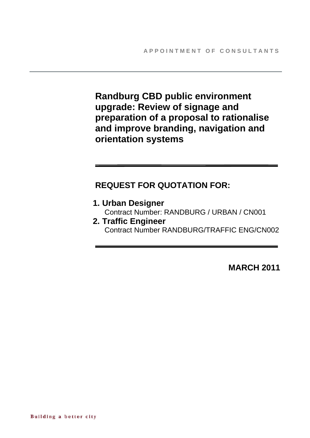**Randburg CBD public environment upgrade: Review of signage and preparation of a proposal to rationalise and improve branding, navigation and orientation systems** 

# **REQUEST FOR QUOTATION FOR:**

**1. Urban Designer**  Contract Number: RANDBURG / URBAN / CN001 **2. Traffic Engineer** 

Contract Number RANDBURG/TRAFFIC ENG/CN002

**MARCH 2011**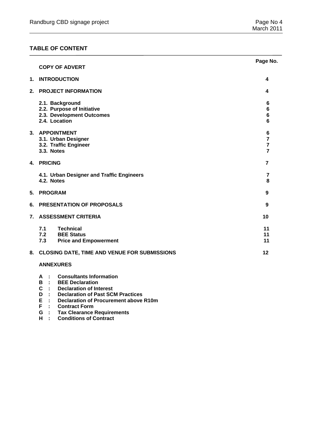## **TABLE OF CONTENT**

|    |                                                                                                                                                          | Page No.                                                |
|----|----------------------------------------------------------------------------------------------------------------------------------------------------------|---------------------------------------------------------|
|    | <b>COPY OF ADVERT</b>                                                                                                                                    |                                                         |
| 1. | <b>INTRODUCTION</b>                                                                                                                                      | 4                                                       |
| 2. | <b>PROJECT INFORMATION</b>                                                                                                                               | 4                                                       |
|    | 2.1. Background<br>2.2. Purpose of Initiative<br>2.3. Development Outcomes<br>2.4. Location                                                              | 6<br>6<br>$\bf 6$<br>6                                  |
|    | 3. APPOINTMENT<br>3.1. Urban Designer<br>3.2. Traffic Engineer<br>3.3. Notes                                                                             | 6<br>$\overline{7}$<br>$\overline{7}$<br>$\overline{7}$ |
| 4. | <b>PRICING</b>                                                                                                                                           | $\overline{7}$                                          |
|    | 4.1. Urban Designer and Traffic Engineers<br>4.2. Notes                                                                                                  | 7<br>8                                                  |
| 5. | <b>PROGRAM</b>                                                                                                                                           | 9                                                       |
| 6. | PRESENTATION OF PROPOSALS                                                                                                                                | 9                                                       |
| 7. | <b>ASSESSMENT CRITERIA</b>                                                                                                                               | 10                                                      |
|    | 7.1<br>Technical<br>7.2 BEE Status<br>7.3<br><b>Price and Empowerment</b>                                                                                | 11<br>11<br>11                                          |
| 8. | <b>CLOSING DATE, TIME AND VENUE FOR SUBMISSIONS</b>                                                                                                      | 12                                                      |
|    | <b>ANNEXURES</b>                                                                                                                                         |                                                         |
|    | <b>Consultants Information</b><br>A<br>- 11<br>В<br>$\mathcal{L}$<br><b>BEE Declaration</b><br>$\sim$<br>Deelevetten of luteveet<br>$\sim$ $\sim$ $\sim$ |                                                         |

- **C : Declaration of Interest**
- **D : Declaration of Past SCM Practices<br>
E : Declaration of Procurement above<br>
F : Contract Form Declaration of Procurement above R10m**
- 
- **G : Tax Clearance Requirements**
- **F** : Contract Form<br> **G** : Tax Clearance <br> **H** : Conditions of C **H : Conditions of Contract**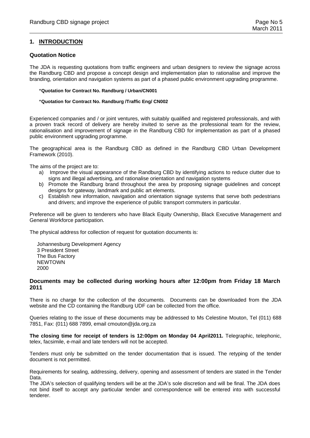#### **1. INTRODUCTION**

#### **Quotation Notice**

The JDA is requesting quotations from traffic engineers and urban designers to review the signage across the Randburg CBD and propose a concept design and implementation plan to rationalise and improve the branding, orientation and navigation systems as part of a phased public environment upgrading programme.

#### **"Quotation for Contract No. Randburg / Urban/CN001**

#### **"Quotation for Contract No. Randburg /Traffic Eng/ CN002**

Experienced companies and / or joint ventures, with suitably qualified and registered professionals, and with a proven track record of delivery are hereby invited to serve as the professional team for the review, rationalisation and improvement of signage in the Randburg CBD for implementation as part of a phased public environment upgrading programme.

The geographical area is the Randburg CBD as defined in the Randburg CBD Urban Development Framework (2010).

The aims of the project are to:

- a) Improve the visual appearance of the Randburg CBD by identifying actions to reduce clutter due to signs and illegal advertising, and rationalise orientation and navigation systems
- b) Promote the Randburg brand throughout the area by proposing signage guidelines and concept designs for gateway, landmark and public art elements.
- c) Establish new information, navigation and orientation signage systems that serve both pedestrians and drivers; and improve the experience of public transport commuters in particular.

Preference will be given to tenderers who have Black Equity Ownership, Black Executive Management and General Workforce participation.

The physical address for collection of request for quotation documents is:

Johannesburg Development Agency 3 President Street The Bus Factory NEWTOWN 2000

#### **Documents may be collected during working hours after 12:00pm from Friday 18 March 2011**

There is no charge for the collection of the documents. Documents can be downloaded from the JDA website and the CD containing the Randburg UDF can be collected from the office.

Queries relating to the issue of these documents may be addressed to Ms Celestine Mouton, Tel (011) 688 7851, Fax: (011) 688 7899, email cmouton@jda.org.za

**The closing time for receipt of tenders is 12:00pm on Monday 04 April2011.** Telegraphic, telephonic, telex, facsimile, e-mail and late tenders will not be accepted.

Tenders must only be submitted on the tender documentation that is issued. The retyping of the tender document is not permitted.

Requirements for sealing, addressing, delivery, opening and assessment of tenders are stated in the Tender Data.

The JDA's selection of qualifying tenders will be at the JDA's sole discretion and will be final. The JDA does not bind itself to accept any particular tender and correspondence will be entered into with successful tenderer.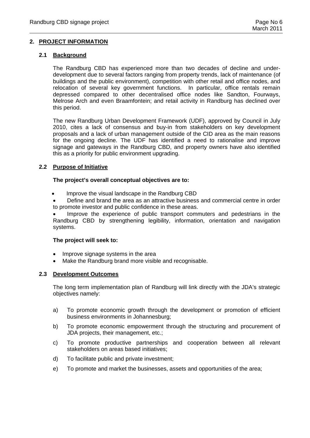## **2. PROJECT INFORMATION**

## **2.1 Background**

The Randburg CBD has experienced more than two decades of decline and underdevelopment due to several factors ranging from property trends, lack of maintenance (of buildings and the public environment), competition with other retail and office nodes, and relocation of several key government functions. In particular, office rentals remain depressed compared to other decentralised office nodes like Sandton, Fourways, Melrose Arch and even Braamfontein; and retail activity in Randburg has declined over this period.

The new Randburg Urban Development Framework (UDF), approved by Council in July 2010, cites a lack of consensus and buy-in from stakeholders on key development proposals and a lack of urban management outside of the CID area as the main reasons for the ongoing decline. The UDF has identified a need to rationalise and improve signage and gateways in the Randburg CBD, and property owners have also identified this as a priority for public environment upgrading.

#### **2.2 Purpose of Initiative**

## **The project's overall conceptual objectives are to:**

- Improve the visual landscape in the Randburg CBD
- Define and brand the area as an attractive business and commercial centre in order to promote investor and public confidence in these areas.

• Improve the experience of public transport commuters and pedestrians in the Randburg CBD by strengthening legibility, information, orientation and navigation systems.

#### **The project will seek to:**

- Improve signage systems in the area
- Make the Randburg brand more visible and recognisable.

#### **2.3 Development Outcomes**

The long term implementation plan of Randburg will link directly with the JDA's strategic objectives namely:

- a) To promote economic growth through the development or promotion of efficient business environments in Johannesburg;
- b) To promote economic empowerment through the structuring and procurement of JDA projects, their management, etc.;
- c) To promote productive partnerships and cooperation between all relevant stakeholders on areas based initiatives;
- d) To facilitate public and private investment;
- e) To promote and market the businesses, assets and opportunities of the area;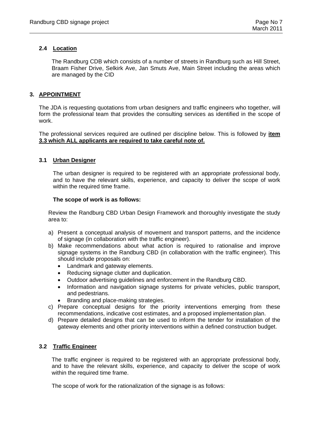## **2.4 Location**

The Randburg CDB which consists of a number of streets in Randburg such as Hill Street, Braam Fisher Drive, Selkirk Ave, Jan Smuts Ave, Main Street including the areas which are managed by the CID

## **3. APPOINTMENT**

The JDA is requesting quotations from urban designers and traffic engineers who together, will form the professional team that provides the consulting services as identified in the scope of work.

The professional services required are outlined per discipline below. This is followed by **item 3.3 which ALL applicants are required to take careful note of.**

## **3.1 Urban Designer**

The urban designer is required to be registered with an appropriate professional body, and to have the relevant skills, experience, and capacity to deliver the scope of work within the required time frame.

#### **The scope of work is as follows:**

Review the Randburg CBD Urban Design Framework and thoroughly investigate the study area to:

- a) Present a conceptual analysis of movement and transport patterns, and the incidence of signage (in collaboration with the traffic engineer).
- b) Make recommendations about what action is required to rationalise and improve signage systems in the Randburg CBD (in collaboration with the traffic engineer). This should include proposals on:
	- Landmark and gateway elements.
	- Reducing signage clutter and duplication.
	- Outdoor advertising guidelines and enforcement in the Randburg CBD.
	- Information and navigation signage systems for private vehicles, public transport, and pedestrians.
	- Branding and place-making strategies.
- c) Prepare conceptual designs for the priority interventions emerging from these recommendations, indicative cost estimates, and a proposed implementation plan.
- d) Prepare detailed designs that can be used to inform the tender for installation of the gateway elements and other priority interventions within a defined construction budget.

## **3.2 Traffic Engineer**

The traffic engineer is required to be registered with an appropriate professional body, and to have the relevant skills, experience, and capacity to deliver the scope of work within the required time frame.

The scope of work for the rationalization of the signage is as follows: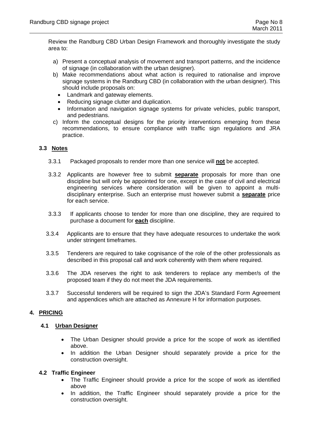Review the Randburg CBD Urban Design Framework and thoroughly investigate the study area to:

- a) Present a conceptual analysis of movement and transport patterns, and the incidence of signage (in collaboration with the urban designer).
- b) Make recommendations about what action is required to rationalise and improve signage systems in the Randburg CBD (in collaboration with the urban designer). This should include proposals on:
	- Landmark and gateway elements.
	- Reducing signage clutter and duplication.
	- Information and navigation signage systems for private vehicles, public transport, and pedestrians.
- c) Inform the conceptual designs for the priority interventions emerging from these recommendations, to ensure compliance with traffic sign regulations and JRA practice.

## **3.3 Notes**

- 3.3.1 Packaged proposals to render more than one service will **not** be accepted.
- 3.3.2 Applicants are however free to submit **separate** proposals for more than one discipline but will only be appointed for one, except in the case of civil and electrical engineering services where consideration will be given to appoint a multidisciplinary enterprise. Such an enterprise must however submit a **separate** price for each service.
- 3.3.3 If applicants choose to tender for more than one discipline, they are required to purchase a document for **each** discipline.
- 3.3.4 Applicants are to ensure that they have adequate resources to undertake the work under stringent timeframes.
- 3.3.5 Tenderers are required to take cognisance of the role of the other professionals as described in this proposal call and work coherently with them where required.
- 3.3.6 The JDA reserves the right to ask tenderers to replace any member/s of the proposed team if they do not meet the JDA requirements.
- 3.3.7 Successful tenderers will be required to sign the JDA's Standard Form Agreement and appendices which are attached as Annexure H for information purposes.

## **4. PRICING**

## **4.1 Urban Designer**

- The Urban Designer should provide a price for the scope of work as identified above.
- In addition the Urban Designer should separately provide a price for the construction oversight.

## **4.2 Traffic Engineer**

- The Traffic Engineer should provide a price for the scope of work as identified above
- In addition, the Traffic Engineer should separately provide a price for the construction oversight.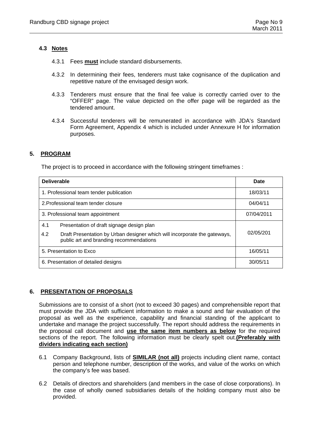## **4.3 Notes**

- 4.3.1 Fees **must** include standard disbursements.
- 4.3.2 In determining their fees, tenderers must take cognisance of the duplication and repetitive nature of the envisaged design work.
- 4.3.3 Tenderers must ensure that the final fee value is correctly carried over to the "OFFER" page. The value depicted on the offer page will be regarded as the tendered amount.
- 4.3.4 Successful tenderers will be remunerated in accordance with JDA's Standard Form Agreement, Appendix 4 which is included under Annexure H for information purposes.

## **5. PROGRAM**

The project is to proceed in accordance with the following stringent timeframes :

| <b>Deliverable</b>                                                                                                          | <b>Date</b> |
|-----------------------------------------------------------------------------------------------------------------------------|-------------|
| 1. Professional team tender publication                                                                                     | 18/03/11    |
| 2. Professional team tender closure                                                                                         | 04/04/11    |
| 3. Professional team appointment                                                                                            | 07/04/2011  |
| 4.1<br>Presentation of draft signage design plan                                                                            |             |
| 4.2<br>Draft Presentation by Urban designer which will incorporate the gateways,<br>public art and branding recommendations | 02/05/201   |
| 5. Presentation to Exco                                                                                                     | 16/05/11    |
| 6. Presentation of detailed designs                                                                                         | 30/05/11    |

## **6. PRESENTATION OF PROPOSALS**

Submissions are to consist of a short (not to exceed 30 pages) and comprehensible report that must provide the JDA with sufficient information to make a sound and fair evaluation of the proposal as well as the experience, capability and financial standing of the applicant to undertake and manage the project successfully. The report should address the requirements in the proposal call document and **use the same item numbers as below** for the required sections of the report. The following information must be clearly spelt out.**(Preferably with dividers indicating each section)**

- 6.1 Company Background, lists of **SIMILAR (not all)** projects including client name, contact person and telephone number, description of the works, and value of the works on which the company's fee was based.
- 6.2 Details of directors and shareholders (and members in the case of close corporations). In the case of wholly owned subsidiaries details of the holding company must also be provided.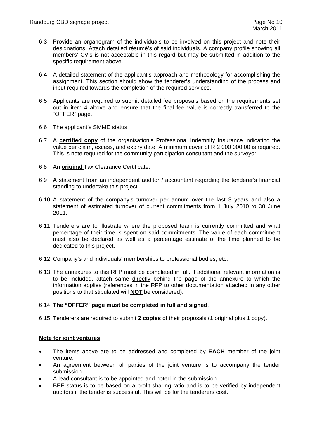- 6.3 Provide an organogram of the individuals to be involved on this project and note their designations. Attach detailed résumé's of said individuals. A company profile showing all members' CV's is not acceptable in this regard but may be submitted in addition to the specific requirement above.
- 6.4 A detailed statement of the applicant's approach and methodology for accomplishing the assignment. This section should show the tenderer's understanding of the process and input required towards the completion of the required services.
- 6.5 Applicants are required to submit detailed fee proposals based on the requirements set out in item 4 above and ensure that the final fee value is correctly transferred to the "OFFER" page.
- 6.6 The applicant's SMME status.
- 6.7 A **certified copy** of the organisation's Professional Indemnity Insurance indicating the value per claim, excess, and expiry date. A minimum cover of R 2 000 000.00 is required. This is note required for the community participation consultant and the surveyor.
- 6.8 An **original** Tax Clearance Certificate.
- 6.9 A statement from an independent auditor / accountant regarding the tenderer's financial standing to undertake this project.
- 6.10 A statement of the company's turnover per annum over the last 3 years and also a statement of estimated turnover of current commitments from 1 July 2010 to 30 June 2011.
- 6.11 Tenderers are to illustrate where the proposed team is currently committed and what percentage of their time is spent on said commitments. The value of each commitment must also be declared as well as a percentage estimate of the time planned to be dedicated to this project.
- 6.12 Company's and individuals' memberships to professional bodies, etc.
- 6.13 The annexures to this RFP must be completed in full. If additional relevant information is to be included, attach same directly behind the page of the annexure to which the information applies (references in the RFP to other documentation attached in any other positions to that stipulated will **NOT** be considered).

## 6.14 **The "OFFER" page must be completed in full and signed**.

6.15 Tenderers are required to submit **2 copies** of their proposals (1 original plus 1 copy).

## **Note for joint ventures**

- The items above are to be addressed and completed by **EACH** member of the joint venture.
- An agreement between all parties of the joint venture is to accompany the tender submission
- A lead consultant is to be appointed and noted in the submission
- BEE status is to be based on a profit sharing ratio and is to be verified by independent auditors if the tender is successful. This will be for the tenderers cost.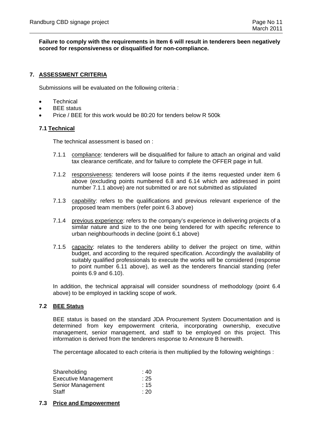#### **Failure to comply with the requirements in Item 6 will result in tenderers been negatively scored for responsiveness or disqualified for non-compliance.**

## **7. ASSESSMENT CRITERIA**

Submissions will be evaluated on the following criteria :

- **Technical**
- BEE status
- Price / BEE for this work would be 80:20 for tenders below R 500k

#### **7.1 Technical**

The technical assessment is based on :

- 7.1.1 compliance: tenderers will be disqualified for failure to attach an original and valid tax clearance certificate, and for failure to complete the OFFER page in full.
- 7.1.2 responsiveness: tenderers will loose points if the items requested under item 6 above (excluding points numbered 6.8 and 6.14 which are addressed in point number 7.1.1 above) are not submitted or are not submitted as stipulated
- 7.1.3 capability: refers to the qualifications and previous relevant experience of the proposed team members (refer point 6.3 above)
- 7.1.4 previous experience: refers to the company's experience in delivering projects of a similar nature and size to the one being tendered for with specific reference to urban neighbourhoods in decline (point 6.1 above)
- 7.1.5 capacity: relates to the tenderers ability to deliver the project on time, within budget, and according to the required specification. Accordingly the availability of suitably qualified professionals to execute the works will be considered (response to point number 6.11 above), as well as the tenderers financial standing (refer points 6.9 and 6.10).

In addition, the technical appraisal will consider soundness of methodology (point 6.4 above) to be employed in tackling scope of work.

#### **7.2 BEE Status**

BEE status is based on the standard JDA Procurement System Documentation and is determined from key empowerment criteria, incorporating ownership, executive management, senior management, and staff to be employed on this project. This information is derived from the tenderers response to Annexure B herewith.

The percentage allocated to each criteria is then multiplied by the following weightings :

| Shareholding                | : 40 |
|-----------------------------|------|
| <b>Executive Management</b> | :25  |
| Senior Management           | :15  |
| Staff                       | :20  |

## **7.3 Price and Empowerment**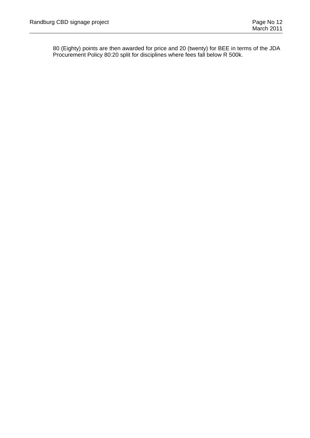80 (Eighty) points are then awarded for price and 20 (twenty) for BEE in terms of the JDA Procurement Policy 80:20 split for disciplines where fees fall below R 500k.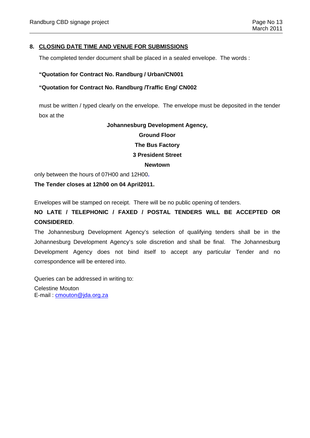## **8. CLOSING DATE TIME AND VENUE FOR SUBMISSIONS**

The completed tender document shall be placed in a sealed envelope. The words :

#### **"Quotation for Contract No. Randburg / Urban/CN001**

#### **"Quotation for Contract No. Randburg /Traffic Eng/ CN002**

must be written / typed clearly on the envelope. The envelope must be deposited in the tender box at the

#### **Johannesburg Development Agency,**

#### **Ground Floor**

#### **The Bus Factory**

## **3 President Street**

#### **Newtown**

only between the hours of 07H00 and 12H00**.** 

**The Tender closes at 12h00 on 04 April2011.** 

Envelopes will be stamped on receipt. There will be no public opening of tenders.

## **NO LATE / TELEPHONIC / FAXED / POSTAL TENDERS WILL BE ACCEPTED OR CONSIDERED**.

The Johannesburg Development Agency's selection of qualifying tenders shall be in the Johannesburg Development Agency's sole discretion and shall be final. The Johannesburg Development Agency does not bind itself to accept any particular Tender and no correspondence will be entered into.

Queries can be addressed in writing to:

Celestine Mouton E-mail : cmouton@jda.org.za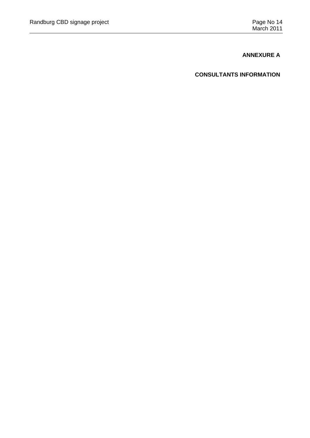## **ANNEXURE A**

## **CONSULTANTS INFORMATION**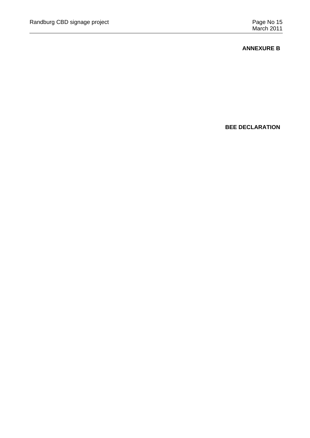## **ANNEXURE B**

**BEE DECLARATION**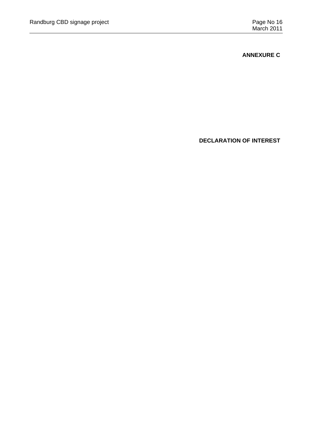**ANNEXURE C** 

**DECLARATION OF INTEREST**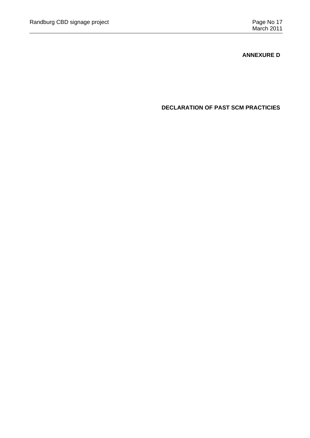## **ANNEXURE D**

**DECLARATION OF PAST SCM PRACTICIES**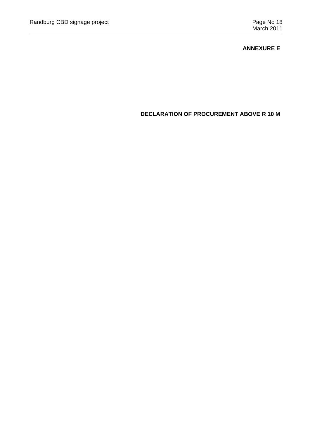## **ANNEXURE E**

**DECLARATION OF PROCUREMENT ABOVE R 10 M**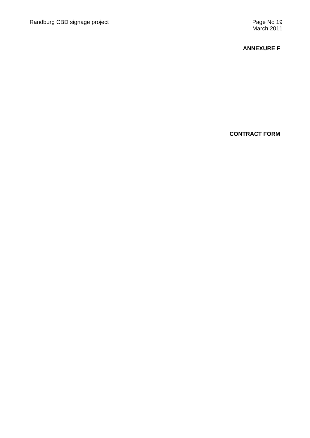## **ANNEXURE F**

**CONTRACT FORM**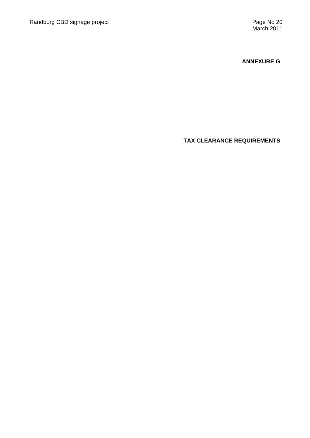**ANNEXURE G** 

**TAX CLEARANCE REQUIREMENTS**